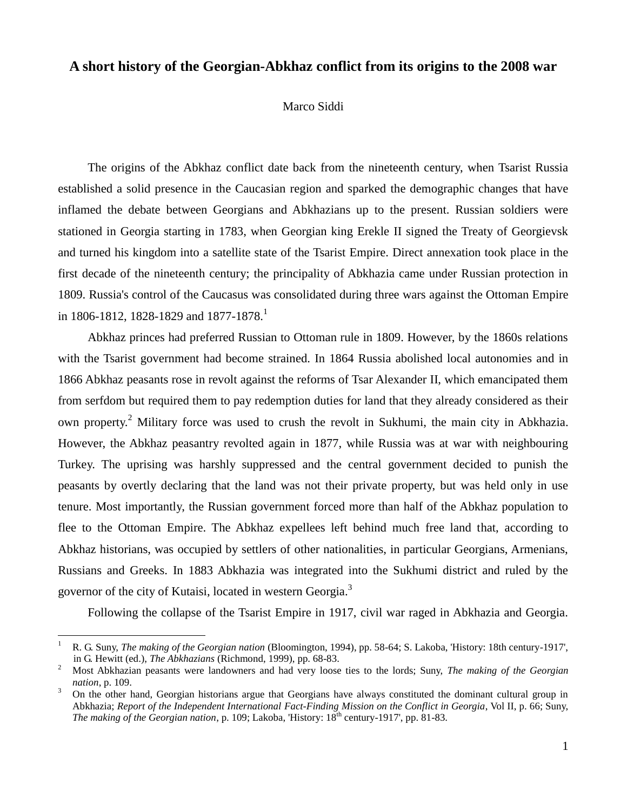## **A short history of the Georgian-Abkhaz conflict from its origins to the 2008 war**

## Marco Siddi

The origins of the Abkhaz conflict date back from the nineteenth century, when Tsarist Russia established a solid presence in the Caucasian region and sparked the demographic changes that have inflamed the debate between Georgians and Abkhazians up to the present. Russian soldiers were stationed in Georgia starting in 1783, when Georgian king Erekle II signed the Treaty of Georgievsk and turned his kingdom into a satellite state of the Tsarist Empire. Direct annexation took place in the first decade of the nineteenth century; the principality of Abkhazia came under Russian protection in 1809. Russia's control of the Caucasus was consolidated during three wars against the Ottoman Empire in 1806-1812, 1828-1829 and 1877-1878.<sup>1</sup>

Abkhaz princes had preferred Russian to Ottoman rule in 1809. However, by the 1860s relations with the Tsarist government had become strained. In 1864 Russia abolished local autonomies and in 1866 Abkhaz peasants rose in revolt against the reforms of Tsar Alexander II, which emancipated them from serfdom but required them to pay redemption duties for land that they already considered as their own property.<sup>2</sup> Military force was used to crush the revolt in Sukhumi, the main city in Abkhazia. However, the Abkhaz peasantry revolted again in 1877, while Russia was at war with neighbouring Turkey. The uprising was harshly suppressed and the central government decided to punish the peasants by overtly declaring that the land was not their private property, but was held only in use tenure. Most importantly, the Russian government forced more than half of the Abkhaz population to flee to the Ottoman Empire. The Abkhaz expellees left behind much free land that, according to Abkhaz historians, was occupied by settlers of other nationalities, in particular Georgians, Armenians, Russians and Greeks. In 1883 Abkhazia was integrated into the Sukhumi district and ruled by the governor of the city of Kutaisi, located in western Georgia.<sup>3</sup>

Following the collapse of the Tsarist Empire in 1917, civil war raged in Abkhazia and Georgia.

<sup>1</sup> R. G. Suny, *The making of the Georgian nation* (Bloomington, 1994), pp. 58-64; S. Lakoba, 'History: 18th century-1917', in G. Hewitt (ed.), *The Abkhazians* (Richmond, 1999), pp. 68-83.

<sup>2</sup> Most Abkhazian peasants were landowners and had very loose ties to the lords; Suny, *The making of the Georgian nation*, p. 109.

<sup>&</sup>lt;sup>3</sup> On the other hand, Georgian historians argue that Georgians have always constituted the dominant cultural group in Abkhazia; *Report of the Independent International Fact-Finding Mission on the Conflict in Georgia*, Vol II, p. 66; Suny, *The making of the Georgian nation*, p. 109; Lakoba, 'History: 18<sup>th</sup> century-1917', pp. 81-83.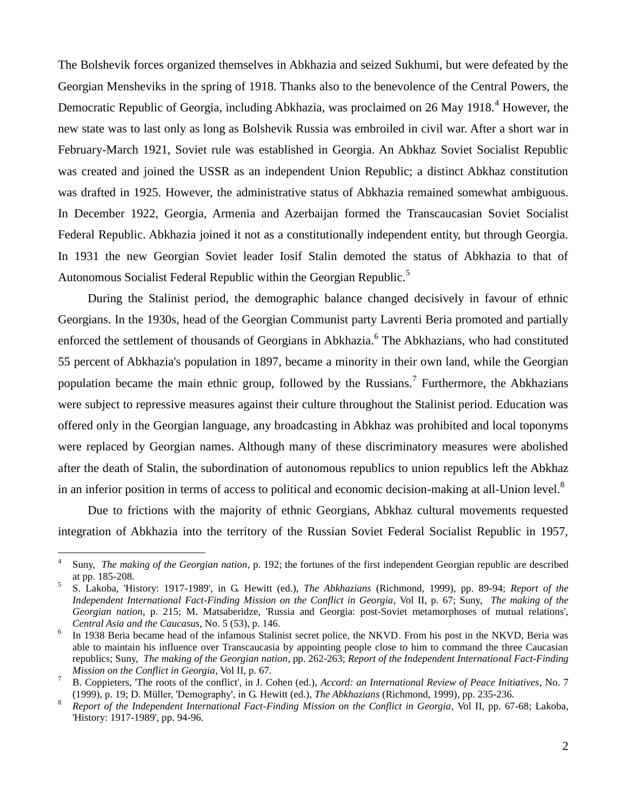The Bolshevik forces organized themselves in Abkhazia and seized Sukhumi, but were defeated by the Georgian Mensheviks in the spring of 1918. Thanks also to the benevolence of the Central Powers, the Democratic Republic of Georgia, including Abkhazia, was proclaimed on 26 May 1918.<sup>4</sup> However, the new state was to last only as long as Bolshevik Russia was embroiled in civil war. After a short war in February-March 1921, Soviet rule was established in Georgia. An Abkhaz Soviet Socialist Republic was created and joined the USSR as an independent Union Republic; a distinct Abkhaz constitution was drafted in 1925. However, the administrative status of Abkhazia remained somewhat ambiguous. In December 1922, Georgia, Armenia and Azerbaijan formed the Transcaucasian Soviet Socialist Federal Republic. Abkhazia joined it not as a constitutionally independent entity, but through Georgia. In 1931 the new Georgian Soviet leader Iosif Stalin demoted the status of Abkhazia to that of Autonomous Socialist Federal Republic within the Georgian Republic.<sup>5</sup>

During the Stalinist period, the demographic balance changed decisively in favour of ethnic Georgians. In the 1930s, head of the Georgian Communist party Lavrenti Beria promoted and partially enforced the settlement of thousands of Georgians in Abkhazia.<sup>6</sup> The Abkhazians, who had constituted 55 percent of Abkhazia's population in 1897, became a minority in their own land, while the Georgian population became the main ethnic group, followed by the Russians.<sup>7</sup> Furthermore, the Abkhazians were subject to repressive measures against their culture throughout the Stalinist period. Education was offered only in the Georgian language, any broadcasting in Abkhaz was prohibited and local toponyms were replaced by Georgian names. Although many of these discriminatory measures were abolished after the death of Stalin, the subordination of autonomous republics to union republics left the Abkhaz in an inferior position in terms of access to political and economic decision-making at all-Union level.<sup>8</sup>

Due to frictions with the majority of ethnic Georgians, Abkhaz cultural movements requested integration of Abkhazia into the territory of the Russian Soviet Federal Socialist Republic in 1957,

<sup>4</sup> Suny, *The making of the Georgian nation*, p. 192; the fortunes of the first independent Georgian republic are described at pp. 185-208.

<sup>5</sup> S. Lakoba, 'History: 1917-1989', in G. Hewitt (ed.), *The Abkhazians* (Richmond, 1999), pp. 89-94; *Report of the Independent International Fact-Finding Mission on the Conflict in Georgia*, Vol II, p. 67; Suny, *The making of the Georgian nation*, p. 215; M. Matsaberidze, 'Russia and Georgia: post-Soviet metamorphoses of mutual relations', *Central Asia and the Caucasus*, No. 5 (53), p. 146.

<sup>6</sup> In 1938 Beria became head of the infamous Stalinist secret police, the NKVD. From his post in the NKVD, Beria was able to maintain his influence over Transcaucasia by appointing people close to him to command the three Caucasian republics; Suny, *The making of the Georgian nation*, pp. 262-263; *Report of the Independent International Fact-Finding Mission on the Conflict in Georgia*, Vol II, p. 67.

<sup>7</sup> B. Coppieters, 'The roots of the conflict', in J. Cohen (ed.), *Accord: an International Review of Peace Initiatives*, No. 7 (1999), p. 19; D. Müller, 'Demography', in G. Hewitt (ed.), *The Abkhazians* (Richmond, 1999), pp. 235-236.

<sup>8</sup> *Report of the Independent International Fact-Finding Mission on the Conflict in Georgia*, Vol II, pp. 67-68; Lakoba, 'History: 1917-1989', pp. 94-96.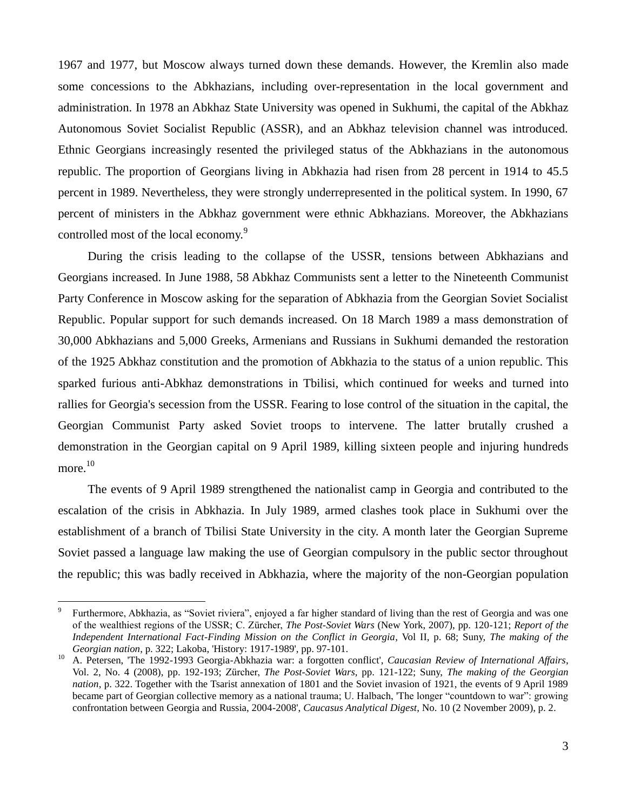1967 and 1977, but Moscow always turned down these demands. However, the Kremlin also made some concessions to the Abkhazians, including over-representation in the local government and administration. In 1978 an Abkhaz State University was opened in Sukhumi, the capital of the Abkhaz Autonomous Soviet Socialist Republic (ASSR), and an Abkhaz television channel was introduced. Ethnic Georgians increasingly resented the privileged status of the Abkhazians in the autonomous republic. The proportion of Georgians living in Abkhazia had risen from 28 percent in 1914 to 45.5 percent in 1989. Nevertheless, they were strongly underrepresented in the political system. In 1990, 67 percent of ministers in the Abkhaz government were ethnic Abkhazians. Moreover, the Abkhazians controlled most of the local economy.<sup>9</sup>

During the crisis leading to the collapse of the USSR, tensions between Abkhazians and Georgians increased. In June 1988, 58 Abkhaz Communists sent a letter to the Nineteenth Communist Party Conference in Moscow asking for the separation of Abkhazia from the Georgian Soviet Socialist Republic. Popular support for such demands increased. On 18 March 1989 a mass demonstration of 30,000 Abkhazians and 5,000 Greeks, Armenians and Russians in Sukhumi demanded the restoration of the 1925 Abkhaz constitution and the promotion of Abkhazia to the status of a union republic. This sparked furious anti-Abkhaz demonstrations in Tbilisi, which continued for weeks and turned into rallies for Georgia's secession from the USSR. Fearing to lose control of the situation in the capital, the Georgian Communist Party asked Soviet troops to intervene. The latter brutally crushed a demonstration in the Georgian capital on 9 April 1989, killing sixteen people and injuring hundreds  $\,$  more.  $^{10}$ 

The events of 9 April 1989 strengthened the nationalist camp in Georgia and contributed to the escalation of the crisis in Abkhazia. In July 1989, armed clashes took place in Sukhumi over the establishment of a branch of Tbilisi State University in the city. A month later the Georgian Supreme Soviet passed a language law making the use of Georgian compulsory in the public sector throughout the republic; this was badly received in Abkhazia, where the majority of the non-Georgian population

<sup>9</sup> Furthermore, Abkhazia, as "Soviet riviera", enjoyed a far higher standard of living than the rest of Georgia and was one of the wealthiest regions of the USSR; C. Zürcher, *The Post-Soviet Wars* (New York, 2007), pp. 120-121; *Report of the Independent International Fact-Finding Mission on the Conflict in Georgia*, Vol II, p. 68; Suny, *The making of the Georgian nation*, p. 322; Lakoba, 'History: 1917-1989', pp. 97-101.

<sup>10</sup> A. Petersen, 'The 1992-1993 Georgia-Abkhazia war: a forgotten conflict', *Caucasian Review of International Affairs*, Vol. 2, No. 4 (2008), pp. 192-193; Zürcher, *The Post-Soviet Wars*, pp. 121-122; Suny, *The making of the Georgian nation*, p. 322. Together with the Tsarist annexation of 1801 and the Soviet invasion of 1921, the events of 9 April 1989 became part of Georgian collective memory as a national trauma; U. Halbach, 'The longer "countdown to war": growing confrontation between Georgia and Russia, 2004-2008', *Caucasus Analytical Digest*, No. 10 (2 November 2009), p. 2.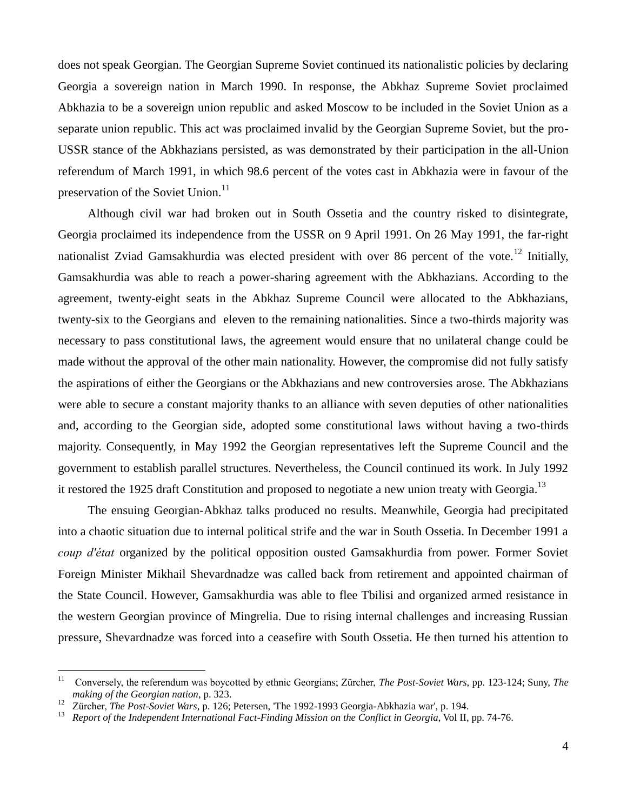does not speak Georgian. The Georgian Supreme Soviet continued its nationalistic policies by declaring Georgia a sovereign nation in March 1990. In response, the Abkhaz Supreme Soviet proclaimed Abkhazia to be a sovereign union republic and asked Moscow to be included in the Soviet Union as a separate union republic. This act was proclaimed invalid by the Georgian Supreme Soviet, but the pro-USSR stance of the Abkhazians persisted, as was demonstrated by their participation in the all-Union referendum of March 1991, in which 98.6 percent of the votes cast in Abkhazia were in favour of the preservation of the Soviet Union.<sup>11</sup>

Although civil war had broken out in South Ossetia and the country risked to disintegrate, Georgia proclaimed its independence from the USSR on 9 April 1991. On 26 May 1991, the far-right nationalist Zviad Gamsakhurdia was elected president with over 86 percent of the vote.<sup>12</sup> Initially, Gamsakhurdia was able to reach a power-sharing agreement with the Abkhazians. According to the agreement, twenty-eight seats in the Abkhaz Supreme Council were allocated to the Abkhazians, twenty-six to the Georgians and eleven to the remaining nationalities. Since a two-thirds majority was necessary to pass constitutional laws, the agreement would ensure that no unilateral change could be made without the approval of the other main nationality. However, the compromise did not fully satisfy the aspirations of either the Georgians or the Abkhazians and new controversies arose. The Abkhazians were able to secure a constant majority thanks to an alliance with seven deputies of other nationalities and, according to the Georgian side, adopted some constitutional laws without having a two-thirds majority. Consequently, in May 1992 the Georgian representatives left the Supreme Council and the government to establish parallel structures. Nevertheless, the Council continued its work. In July 1992 it restored the 1925 draft Constitution and proposed to negotiate a new union treaty with Georgia.<sup>13</sup>

The ensuing Georgian-Abkhaz talks produced no results. Meanwhile, Georgia had precipitated into a chaotic situation due to internal political strife and the war in South Ossetia. In December 1991 a *coup d'état* organized by the political opposition ousted Gamsakhurdia from power. Former Soviet Foreign Minister Mikhail Shevardnadze was called back from retirement and appointed chairman of the State Council. However, Gamsakhurdia was able to flee Tbilisi and organized armed resistance in the western Georgian province of Mingrelia. Due to rising internal challenges and increasing Russian pressure, Shevardnadze was forced into a ceasefire with South Ossetia. He then turned his attention to

 $11$ <sup>11</sup> Conversely, the referendum was boycotted by ethnic Georgians; Zürcher, *The Post-Soviet Wars*, pp. 123-124; Suny, *The making of the Georgian nation*, p. 323.

<sup>&</sup>lt;sup>12</sup> Zürcher, *The Post-Soviet Wars*, p. 126; Petersen, 'The 1992-1993 Georgia-Abkhazia war', p. 194.<br><sup>13</sup> Penert of the Independent International East Finding Mission on the Conflict in Georgia Vol. II.

<sup>13</sup> *Report of the Independent International Fact-Finding Mission on the Conflict in Georgia*, Vol II, pp. 74-76.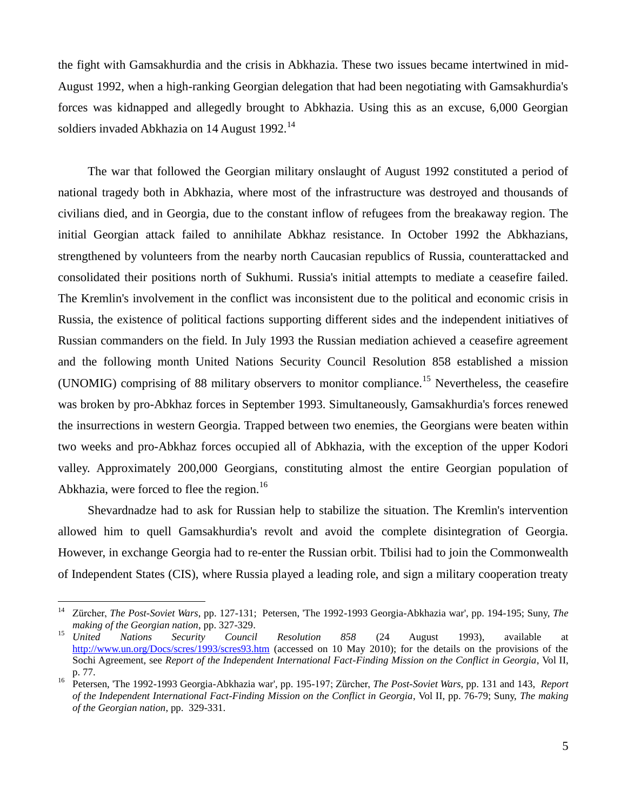the fight with Gamsakhurdia and the crisis in Abkhazia. These two issues became intertwined in mid-August 1992, when a high-ranking Georgian delegation that had been negotiating with Gamsakhurdia's forces was kidnapped and allegedly brought to Abkhazia. Using this as an excuse, 6,000 Georgian soldiers invaded Abkhazia on 14 August 1992.<sup>14</sup>

The war that followed the Georgian military onslaught of August 1992 constituted a period of national tragedy both in Abkhazia, where most of the infrastructure was destroyed and thousands of civilians died, and in Georgia, due to the constant inflow of refugees from the breakaway region. The initial Georgian attack failed to annihilate Abkhaz resistance. In October 1992 the Abkhazians, strengthened by volunteers from the nearby north Caucasian republics of Russia, counterattacked and consolidated their positions north of Sukhumi. Russia's initial attempts to mediate a ceasefire failed. The Kremlin's involvement in the conflict was inconsistent due to the political and economic crisis in Russia, the existence of political factions supporting different sides and the independent initiatives of Russian commanders on the field. In July 1993 the Russian mediation achieved a ceasefire agreement and the following month United Nations Security Council Resolution 858 established a mission (UNOMIG) comprising of 88 military observers to monitor compliance.<sup>15</sup> Nevertheless, the ceasefire was broken by pro-Abkhaz forces in September 1993. Simultaneously, Gamsakhurdia's forces renewed the insurrections in western Georgia. Trapped between two enemies, the Georgians were beaten within two weeks and pro-Abkhaz forces occupied all of Abkhazia, with the exception of the upper Kodori valley. Approximately 200,000 Georgians, constituting almost the entire Georgian population of Abkhazia, were forced to flee the region.<sup>16</sup>

Shevardnadze had to ask for Russian help to stabilize the situation. The Kremlin's intervention allowed him to quell Gamsakhurdia's revolt and avoid the complete disintegration of Georgia. However, in exchange Georgia had to re-enter the Russian orbit. Tbilisi had to join the Commonwealth of Independent States (CIS), where Russia played a leading role, and sign a military cooperation treaty

<sup>14</sup> Zürcher, *The Post-Soviet Wars*, pp. 127-131; Petersen, 'The 1992-1993 Georgia-Abkhazia war', pp. 194-195; Suny, *The making of the Georgian nation*, pp. 327-329.

<sup>15</sup> *United Nations Security Council Resolution 858* (24 August 1993), available at <http://www.un.org/Docs/scres/1993/scres93.htm> (accessed on 10 May 2010); for the details on the provisions of the Sochi Agreement, see *Report of the Independent International Fact-Finding Mission on the Conflict in Georgia*, Vol II, p. 77.

<sup>16</sup> Petersen, 'The 1992-1993 Georgia-Abkhazia war', pp. 195-197; Zürcher, *The Post-Soviet Wars*, pp. 131 and 143, *Report of the Independent International Fact-Finding Mission on the Conflict in Georgia*, Vol II, pp. 76-79; Suny, *The making of the Georgian nation*, pp. 329-331.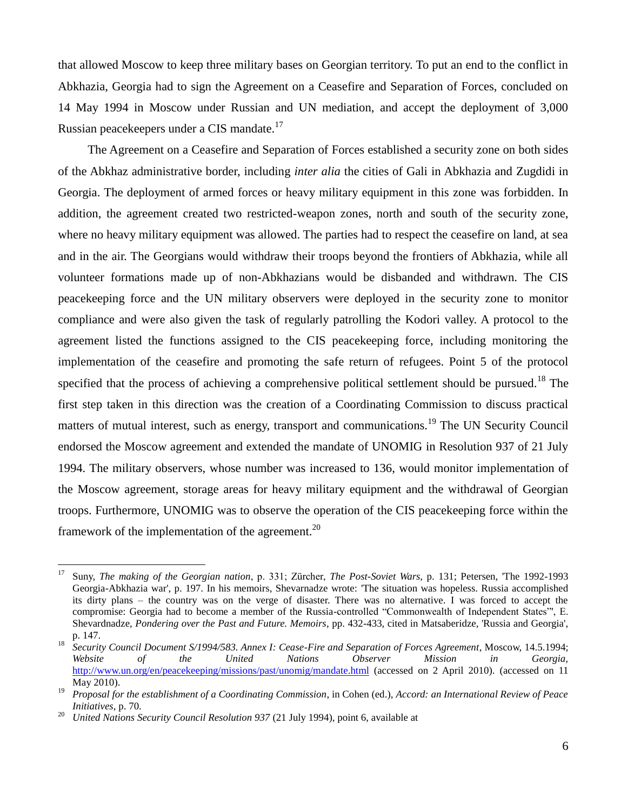that allowed Moscow to keep three military bases on Georgian territory. To put an end to the conflict in Abkhazia, Georgia had to sign the Agreement on a Ceasefire and Separation of Forces, concluded on 14 May 1994 in Moscow under Russian and UN mediation, and accept the deployment of 3,000 Russian peacekeepers under a CIS mandate.<sup>17</sup>

The Agreement on a Ceasefire and Separation of Forces established a security zone on both sides of the Abkhaz administrative border, including *inter alia* the cities of Gali in Abkhazia and Zugdidi in Georgia. The deployment of armed forces or heavy military equipment in this zone was forbidden. In addition, the agreement created two restricted-weapon zones, north and south of the security zone, where no heavy military equipment was allowed. The parties had to respect the ceasefire on land, at sea and in the air. The Georgians would withdraw their troops beyond the frontiers of Abkhazia, while all volunteer formations made up of non-Abkhazians would be disbanded and withdrawn. The CIS peacekeeping force and the UN military observers were deployed in the security zone to monitor compliance and were also given the task of regularly patrolling the Kodori valley. A protocol to the agreement listed the functions assigned to the CIS peacekeeping force, including monitoring the implementation of the ceasefire and promoting the safe return of refugees. Point 5 of the protocol specified that the process of achieving a comprehensive political settlement should be pursued.<sup>18</sup> The first step taken in this direction was the creation of a Coordinating Commission to discuss practical matters of mutual interest, such as energy, transport and communications.<sup>19</sup> The UN Security Council endorsed the Moscow agreement and extended the mandate of UNOMIG in Resolution 937 of 21 July 1994. The military observers, whose number was increased to 136, would monitor implementation of the Moscow agreement, storage areas for heavy military equipment and the withdrawal of Georgian troops. Furthermore, UNOMIG was to observe the operation of the CIS peacekeeping force within the framework of the implementation of the agreement.<sup>20</sup>

<sup>17</sup> Suny, *The making of the Georgian nation*, p. 331; Zürcher, *The Post-Soviet Wars*, p. 131; Petersen, 'The 1992-1993 Georgia-Abkhazia war', p. 197. In his memoirs, Shevarnadze wrote: 'The situation was hopeless. Russia accomplished its dirty plans – the country was on the verge of disaster. There was no alternative. I was forced to accept the compromise: Georgia had to become a member of the Russia-controlled "Commonwealth of Independent States"', E. Shevardnadze, *Pondering over the Past and Future. Memoirs*, pp. 432-433, cited in Matsaberidze, 'Russia and Georgia', p. 147.

<sup>&</sup>lt;sup>18</sup> *Security Council Document S/1994/583. Annex I: Cease-Fire and Separation of Forces Agreement*, Moscow, 14.5.1994; *Website of the United Nations Observer Mission in Georgia,*  [http://www.un.org/en/peacekeeping/missions/past/unomig/mand](http://www.un.org/en/peacekeeping/missions/past/unomig/man)[ate](http://www.un.org/en/peacekeeping/missions/past/unomig/manda)[.html](http://www.un.org/en/peacekeeping/missions/past/unomig/mandate.html) (accessed on 2 April 2010). (accessed on 11 May 2010).

<sup>19</sup> *Proposal for the establishment of a Coordinating Commission*, in Cohen (ed.), *Accord: an International Review of Peace Initiatives*, p. 70.

<sup>&</sup>lt;sup>20</sup> *United Nations Security Council Resolution 937 (21 July 1994), point 6, available at*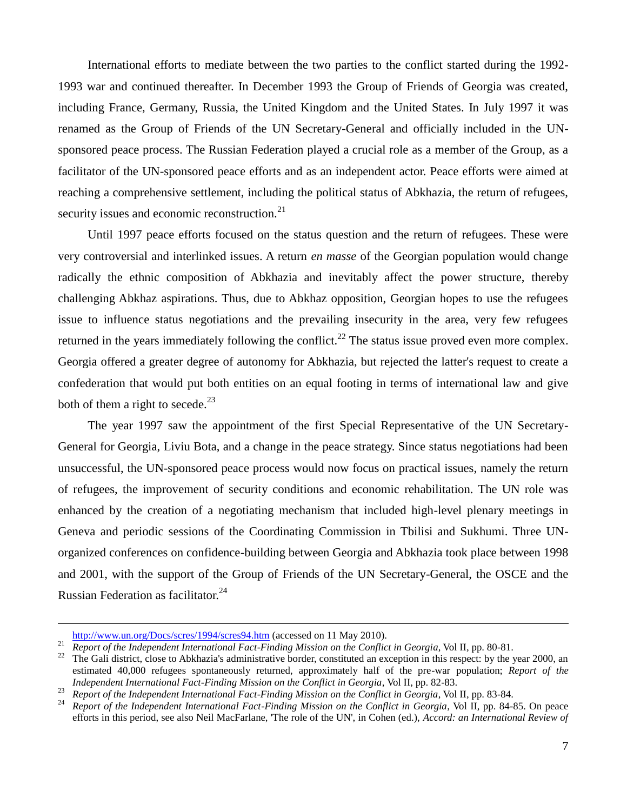International efforts to mediate between the two parties to the conflict started during the 1992- 1993 war and continued thereafter. In December 1993 the Group of Friends of Georgia was created, including France, Germany, Russia, the United Kingdom and the United States. In July 1997 it was renamed as the Group of Friends of the UN Secretary-General and officially included in the UNsponsored peace process. The Russian Federation played a crucial role as a member of the Group, as a facilitator of the UN-sponsored peace efforts and as an independent actor. Peace efforts were aimed at reaching a comprehensive settlement, including the political status of Abkhazia, the return of refugees, security issues and economic reconstruction. $21$ 

Until 1997 peace efforts focused on the status question and the return of refugees. These were very controversial and interlinked issues. A return *en masse* of the Georgian population would change radically the ethnic composition of Abkhazia and inevitably affect the power structure, thereby challenging Abkhaz aspirations. Thus, due to Abkhaz opposition, Georgian hopes to use the refugees issue to influence status negotiations and the prevailing insecurity in the area, very few refugees returned in the years immediately following the conflict.<sup>22</sup> The status issue proved even more complex. Georgia offered a greater degree of autonomy for Abkhazia, but rejected the latter's request to create a confederation that would put both entities on an equal footing in terms of international law and give both of them a right to secede. $^{23}$ 

The year 1997 saw the appointment of the first Special Representative of the UN Secretary-General for Georgia, Liviu Bota, and a change in the peace strategy. Since status negotiations had been unsuccessful, the UN-sponsored peace process would now focus on practical issues, namely the return of refugees, the improvement of security conditions and economic rehabilitation. The UN role was enhanced by the creation of a negotiating mechanism that included high-level plenary meetings in Geneva and periodic sessions of the Coordinating Commission in Tbilisi and Sukhumi. Three UNorganized conferences on confidence-building between Georgia and Abkhazia took place between 1998 and 2001, with the support of the Group of Friends of the UN Secretary-General, the OSCE and the Russian Federation as facilitator.<sup>24</sup>

<http://www.un.org/Docs/scres/1994/scres94.htm> (accessed on 11 May 2010).

<sup>&</sup>lt;sup>21</sup> *Report of the Independent International Fact-Finding Mission on the Conflict in Georgia*, Vol II, pp. 80-81.

<sup>&</sup>lt;sup>22</sup> The Gali district, close to Abkhazia's administrative border, constituted an exception in this respect: by the year 2000, an estimated 40,000 refugees spontaneously returned, approximately half of the pre-war population; *Report of the Independent International Fact-Finding Mission on the Conflict in Georgia*, Vol II, pp. 82-83.

<sup>&</sup>lt;sup>23</sup> *Report of the Independent International Fact-Finding Mission on the Conflict in Georgia*, Vol II, pp. 83-84.<br><sup>24</sup> *Report of the Independent International Fact Finding Mission on the Conflict in Georgia, Vol II, pp.* 

<sup>24</sup> *Report of the Independent International Fact-Finding Mission on the Conflict in Georgia*, Vol II, pp. 84-85. On peace efforts in this period, see also Neil MacFarlane, 'The role of the UN', in Cohen (ed.), *Accord: an International Review of*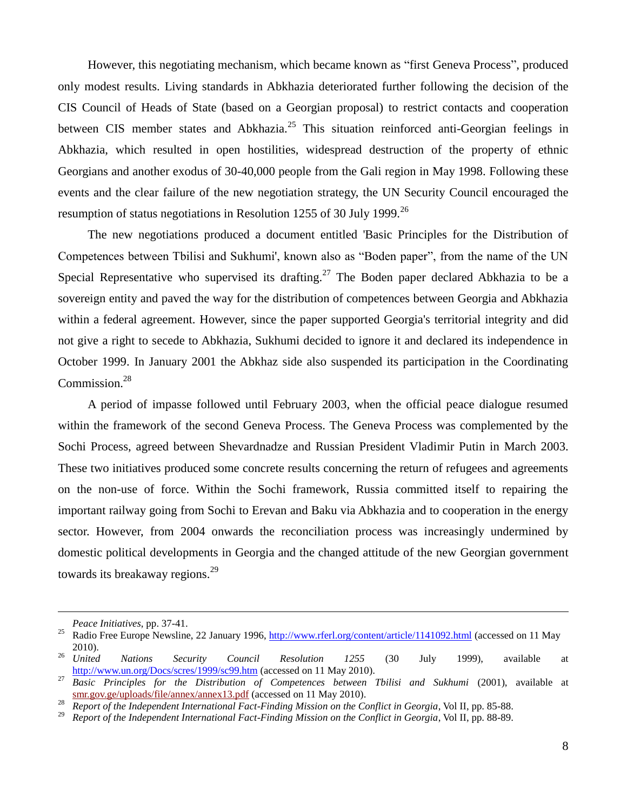However, this negotiating mechanism, which became known as "first Geneva Process", produced only modest results. Living standards in Abkhazia deteriorated further following the decision of the CIS Council of Heads of State (based on a Georgian proposal) to restrict contacts and cooperation between CIS member states and Abkhazia.<sup>25</sup> This situation reinforced anti-Georgian feelings in Abkhazia, which resulted in open hostilities, widespread destruction of the property of ethnic Georgians and another exodus of 30-40,000 people from the Gali region in May 1998. Following these events and the clear failure of the new negotiation strategy, the UN Security Council encouraged the resumption of status negotiations in Resolution 1255 of 30 July 1999.<sup>26</sup>

The new negotiations produced a document entitled 'Basic Principles for the Distribution of Competences between Tbilisi and Sukhumi', known also as "Boden paper", from the name of the UN Special Representative who supervised its drafting.<sup>27</sup> The Boden paper declared Abkhazia to be a sovereign entity and paved the way for the distribution of competences between Georgia and Abkhazia within a federal agreement. However, since the paper supported Georgia's territorial integrity and did not give a right to secede to Abkhazia, Sukhumi decided to ignore it and declared its independence in October 1999. In January 2001 the Abkhaz side also suspended its participation in the Coordinating Commission.<sup>28</sup>

A period of impasse followed until February 2003, when the official peace dialogue resumed within the framework of the second Geneva Process. The Geneva Process was complemented by the Sochi Process, agreed between Shevardnadze and Russian President Vladimir Putin in March 2003. These two initiatives produced some concrete results concerning the return of refugees and agreements on the non-use of force. Within the Sochi framework, Russia committed itself to repairing the important railway going from Sochi to Erevan and Baku via Abkhazia and to cooperation in the energy sector. However, from 2004 onwards the reconciliation process was increasingly undermined by domestic political developments in Georgia and the changed attitude of the new Georgian government towards its breakaway regions.<sup>29</sup>

*Peace Initiatives*, pp. 37-41.

<sup>&</sup>lt;sup>25</sup> Radio Free Europe Newsline, 22 January 1996[, http://www.rferl.org/content/article/1141092.html](http://www.rferl.org/content/article/1141092.html) (accessed on 11 May 2010).

<sup>26</sup> *United Nations Security Council Resolution 1255* (30 July 1999), available at <http://www.un.org/Docs/scres/1999/sc99.htm> (accessed on 11 May 2010).

<sup>&</sup>lt;sup>27</sup> *Basic Principles for the Distribution of Competences between Tbilisi and Sukhumi (2001)*, available at smr.gov.ge/uploads/file/annex/annex13.pdf (accessed on 11 May 2010).

<sup>&</sup>lt;sup>28</sup> *Report of the Independent International Fact-Finding Mission on the Conflict in Georgia*, Vol II, pp. 85-88.<br><sup>29</sup> *Report of the Independent International Fact Finding Mission on the Conflict in Georgia Vol II, pp.* 

<sup>29</sup> *Report of the Independent International Fact-Finding Mission on the Conflict in Georgia*, Vol II, pp. 88-89.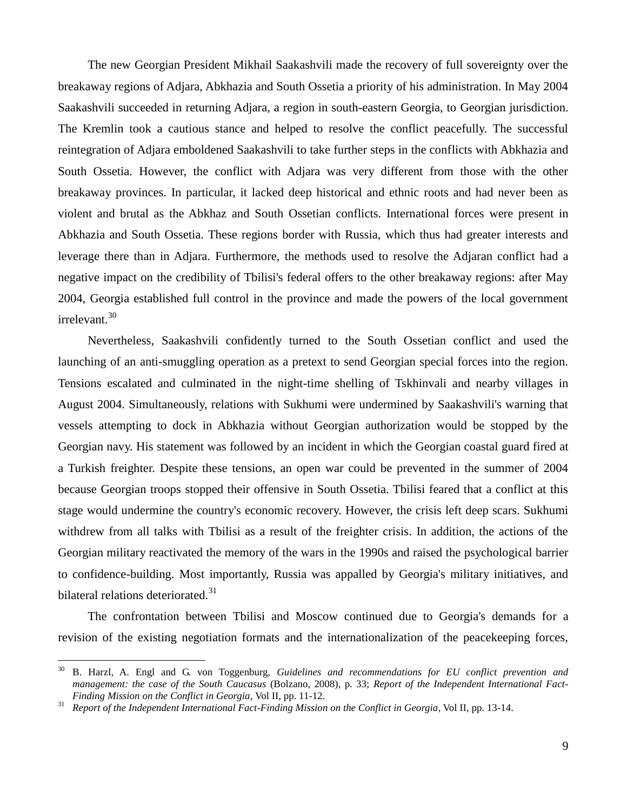The new Georgian President Mikhail Saakashvili made the recovery of full sovereignty over the breakaway regions of Adjara, Abkhazia and South Ossetia a priority of his administration. In May 2004 Saakashvili succeeded in returning Adjara, a region in south-eastern Georgia, to Georgian jurisdiction. The Kremlin took a cautious stance and helped to resolve the conflict peacefully. The successful reintegration of Adjara emboldened Saakashvili to take further steps in the conflicts with Abkhazia and South Ossetia. However, the conflict with Adjara was very different from those with the other breakaway provinces. In particular, it lacked deep historical and ethnic roots and had never been as violent and brutal as the Abkhaz and South Ossetian conflicts. International forces were present in Abkhazia and South Ossetia. These regions border with Russia, which thus had greater interests and leverage there than in Adjara. Furthermore, the methods used to resolve the Adjaran conflict had a negative impact on the credibility of Tbilisi's federal offers to the other breakaway regions: after May 2004, Georgia established full control in the province and made the powers of the local government irrelevant.<sup>30</sup>

Nevertheless, Saakashvili confidently turned to the South Ossetian conflict and used the launching of an anti-smuggling operation as a pretext to send Georgian special forces into the region. Tensions escalated and culminated in the night-time shelling of Tskhinvali and nearby villages in August 2004. Simultaneously, relations with Sukhumi were undermined by Saakashvili's warning that vessels attempting to dock in Abkhazia without Georgian authorization would be stopped by the Georgian navy. His statement was followed by an incident in which the Georgian coastal guard fired at a Turkish freighter. Despite these tensions, an open war could be prevented in the summer of 2004 because Georgian troops stopped their offensive in South Ossetia. Tbilisi feared that a conflict at this stage would undermine the country's economic recovery. However, the crisis left deep scars. Sukhumi withdrew from all talks with Tbilisi as a result of the freighter crisis. In addition, the actions of the Georgian military reactivated the memory of the wars in the 1990s and raised the psychological barrier to confidence-building. Most importantly, Russia was appalled by Georgia's military initiatives, and bilateral relations deteriorated. $31$ 

The confrontation between Tbilisi and Moscow continued due to Georgia's demands for a revision of the existing negotiation formats and the internationalization of the peacekeeping forces,

 $30\,$ <sup>30</sup> B. Harzl, A. Engl and G. von Toggenburg, *Guidelines and recommendations for EU conflict prevention and management: the case of the South Caucasus* (Bolzano, 2008), p. 33; *Report of the Independent International Fact-Finding Mission on the Conflict in Georgia*, Vol II, pp. 11-12.

<sup>31</sup> *Report of the Independent International Fact-Finding Mission on the Conflict in Georgia*, Vol II, pp. 13-14.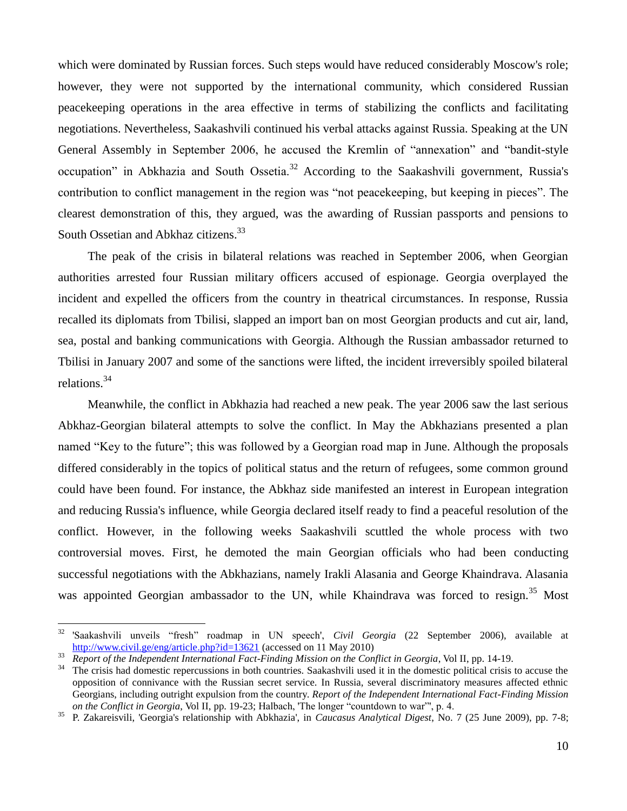which were dominated by Russian forces. Such steps would have reduced considerably Moscow's role; however, they were not supported by the international community, which considered Russian peacekeeping operations in the area effective in terms of stabilizing the conflicts and facilitating negotiations. Nevertheless, Saakashvili continued his verbal attacks against Russia. Speaking at the UN General Assembly in September 2006, he accused the Kremlin of "annexation" and "bandit-style occupation" in Abkhazia and South Ossetia.<sup>32</sup> According to the Saakashvili government, Russia's contribution to conflict management in the region was "not peacekeeping, but keeping in pieces". The clearest demonstration of this, they argued, was the awarding of Russian passports and pensions to South Ossetian and Abkhaz citizens.<sup>33</sup>

The peak of the crisis in bilateral relations was reached in September 2006, when Georgian authorities arrested four Russian military officers accused of espionage. Georgia overplayed the incident and expelled the officers from the country in theatrical circumstances. In response, Russia recalled its diplomats from Tbilisi, slapped an import ban on most Georgian products and cut air, land, sea, postal and banking communications with Georgia. Although the Russian ambassador returned to Tbilisi in January 2007 and some of the sanctions were lifted, the incident irreversibly spoiled bilateral relations.<sup>34</sup>

Meanwhile, the conflict in Abkhazia had reached a new peak. The year 2006 saw the last serious Abkhaz-Georgian bilateral attempts to solve the conflict. In May the Abkhazians presented a plan named "Key to the future"; this was followed by a Georgian road map in June. Although the proposals differed considerably in the topics of political status and the return of refugees, some common ground could have been found. For instance, the Abkhaz side manifested an interest in European integration and reducing Russia's influence, while Georgia declared itself ready to find a peaceful resolution of the conflict. However, in the following weeks Saakashvili scuttled the whole process with two controversial moves. First, he demoted the main Georgian officials who had been conducting successful negotiations with the Abkhazians, namely Irakli Alasania and George Khaindrava. Alasania was appointed Georgian ambassador to the UN, while Khaindrava was forced to resign.<sup>35</sup> Most

<sup>32</sup> <sup>32</sup> 'Saakashvili unveils "fresh" roadmap in UN speech', *Civil Georgia* (22 September 2006), available at [http://www.civil.ge/eng/article.php?id=13621](http://www.civil.ge/eng/article.php?id=15884) (accessed on 11 May 2010)

<sup>&</sup>lt;sup>33</sup> *Report of the Independent International Fact-Finding Mission on the Conflict in Georgia*, Vol II, pp. 14-19.<br><sup>34</sup> The crisis had domestic repercussions in both countries. Saakashvili used it in the domestic political

<sup>34</sup> The crisis had domestic repercussions in both countries. Saakashvili used it in the domestic political crisis to accuse the opposition of connivance with the Russian secret service. In Russia, several discriminatory measures affected ethnic Georgians, including outright expulsion from the country. *Report of the Independent International Fact-Finding Mission on the Conflict in Georgia*, Vol II, pp. 19-23; Halbach, 'The longer "countdown to war"', p. 4.

<sup>35</sup> P. Zakareisvili, 'Georgia's relationship with Abkhazia', in *Caucasus Analytical Digest*, No. 7 (25 June 2009), pp. 7-8;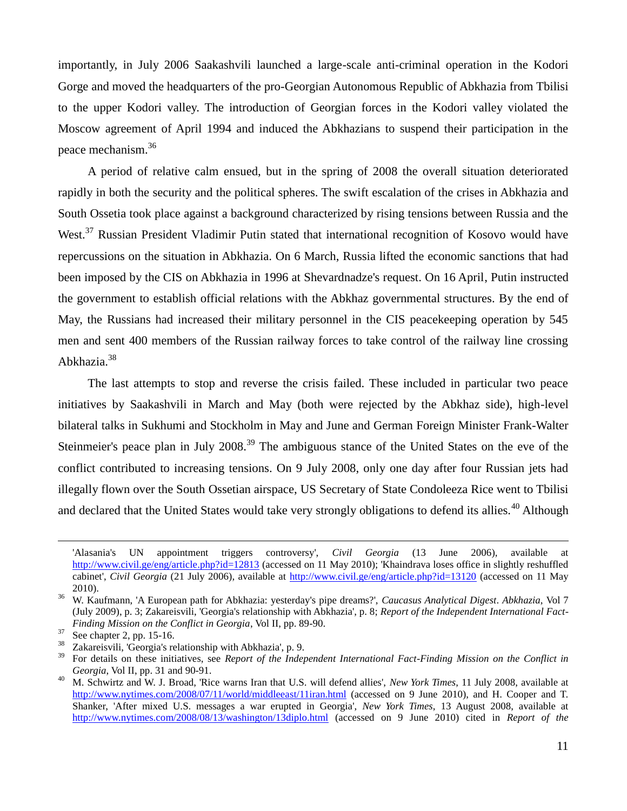importantly, in July 2006 Saakashvili launched a large-scale anti-criminal operation in the Kodori Gorge and moved the headquarters of the pro-Georgian Autonomous Republic of Abkhazia from Tbilisi to the upper Kodori valley. The introduction of Georgian forces in the Kodori valley violated the Moscow agreement of April 1994 and induced the Abkhazians to suspend their participation in the peace mechanism.<sup>36</sup>

A period of relative calm ensued, but in the spring of 2008 the overall situation deteriorated rapidly in both the security and the political spheres. The swift escalation of the crises in Abkhazia and South Ossetia took place against a background characterized by rising tensions between Russia and the West.<sup>37</sup> Russian President Vladimir Putin stated that international recognition of Kosovo would have repercussions on the situation in Abkhazia. On 6 March, Russia lifted the economic sanctions that had been imposed by the CIS on Abkhazia in 1996 at Shevardnadze's request. On 16 April, Putin instructed the government to establish official relations with the Abkhaz governmental structures. By the end of May, the Russians had increased their military personnel in the CIS peacekeeping operation by 545 men and sent 400 members of the Russian railway forces to take control of the railway line crossing Abkhazia.<sup>38</sup>

The last attempts to stop and reverse the crisis failed. These included in particular two peace initiatives by Saakashvili in March and May (both were rejected by the Abkhaz side), high-level bilateral talks in Sukhumi and Stockholm in May and June and German Foreign Minister Frank-Walter Steinmeier's peace plan in July 2008.<sup>39</sup> The ambiguous stance of the United States on the eve of the conflict contributed to increasing tensions. On 9 July 2008, only one day after four Russian jets had illegally flown over the South Ossetian airspace, US Secretary of State Condoleeza Rice went to Tbilisi and declared that the United States would take very strongly obligations to defend its allies.<sup>40</sup> Although

<sup>&#</sup>x27;Alasania's UN appointment triggers controversy', *Civil Georgia* (13 June 2006), available at <http://www.civil.ge/eng/article.php?id=12813> (accessed on 11 May 2010); 'Khaindrava loses office in slightly reshuffled cabinet', *Civil Georgia* (21 July 2006), available at<http://www.civil.ge/eng/article.php?id=13120> (accessed on 11 May 2010).

<sup>36</sup> W. Kaufmann, 'A European path for Abkhazia: yesterday's pipe dreams?', *Caucasus Analytical Digest*. *Abkhazia*, Vol 7 (July 2009), p. 3; Zakareisvili, 'Georgia's relationship with Abkhazia', p. 8; *Report of the Independent International Fact-Finding Mission on the Conflict in Georgia*, Vol II, pp. 89-90.

 $37\atop{38}$  See chapter 2, pp. 15-16.

<sup>&</sup>lt;sup>38</sup> Zakareisvili, 'Georgia's relationship with Abkhazia', p. 9.<br><sup>39</sup> Ean datails on these initiatives, see Benewt of the Index

<sup>39</sup> For details on these initiatives, see *Report of the Independent International Fact-Finding Mission on the Conflict in Georgia*, Vol II, pp. 31 and 90-91.

<sup>40</sup> M. Schwirtz and W. J. Broad, 'Rice warns Iran that U.S. will defend allies', *New York Times*, 11 July 2008, available at <http://www.nytimes.com/2008/07/11/world/middleeast/11iran.html> (accessed on 9 June 2010), and H. Cooper and T. Shanker, 'After mixed U.S. messages a war erupted in Georgia', *New York Times*, 13 August 2008, available at <http://www.nytimes.com/2008/08/13/washington/13diplo.html> (accessed on 9 June 2010) cited in *Report of the*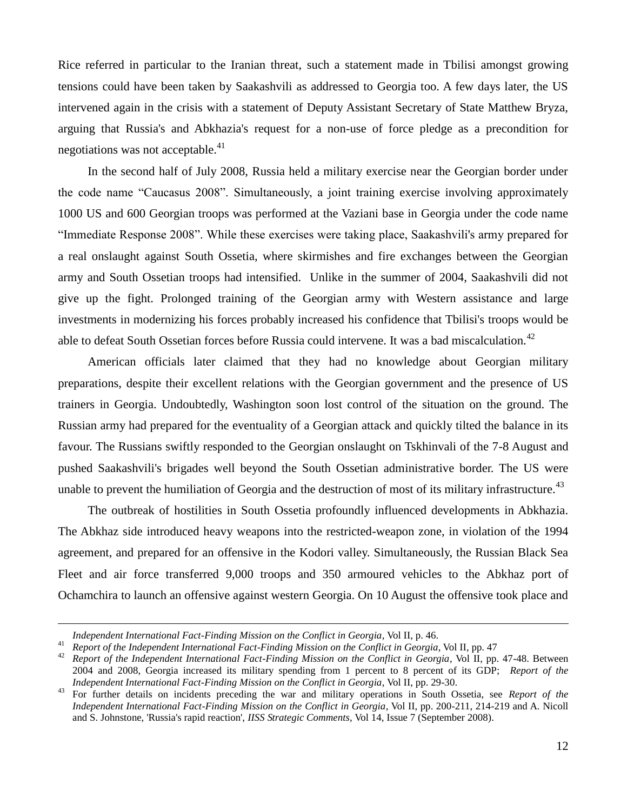Rice referred in particular to the Iranian threat, such a statement made in Tbilisi amongst growing tensions could have been taken by Saakashvili as addressed to Georgia too. A few days later, the US intervened again in the crisis with a statement of Deputy Assistant Secretary of State Matthew Bryza, arguing that Russia's and Abkhazia's request for a non-use of force pledge as a precondition for negotiations was not acceptable.<sup>41</sup>

In the second half of July 2008, Russia held a military exercise near the Georgian border under the code name "Caucasus 2008". Simultaneously, a joint training exercise involving approximately 1000 US and 600 Georgian troops was performed at the Vaziani base in Georgia under the code name "Immediate Response 2008". While these exercises were taking place, Saakashvili's army prepared for a real onslaught against South Ossetia, where skirmishes and fire exchanges between the Georgian army and South Ossetian troops had intensified. Unlike in the summer of 2004, Saakashvili did not give up the fight. Prolonged training of the Georgian army with Western assistance and large investments in modernizing his forces probably increased his confidence that Tbilisi's troops would be able to defeat South Ossetian forces before Russia could intervene. It was a bad miscalculation.<sup>42</sup>

American officials later claimed that they had no knowledge about Georgian military preparations, despite their excellent relations with the Georgian government and the presence of US trainers in Georgia. Undoubtedly, Washington soon lost control of the situation on the ground. The Russian army had prepared for the eventuality of a Georgian attack and quickly tilted the balance in its favour. The Russians swiftly responded to the Georgian onslaught on Tskhinvali of the 7-8 August and pushed Saakashvili's brigades well beyond the South Ossetian administrative border. The US were unable to prevent the humiliation of Georgia and the destruction of most of its military infrastructure.<sup>43</sup>

The outbreak of hostilities in South Ossetia profoundly influenced developments in Abkhazia. The Abkhaz side introduced heavy weapons into the restricted-weapon zone, in violation of the 1994 agreement, and prepared for an offensive in the Kodori valley. Simultaneously, the Russian Black Sea Fleet and air force transferred 9,000 troops and 350 armoured vehicles to the Abkhaz port of Ochamchira to launch an offensive against western Georgia. On 10 August the offensive took place and

*Independent International Fact-Finding Mission on the Conflict in Georgia*, Vol II, p. 46.

<sup>41</sup> *Report of the Independent International Fact-Finding Mission on the Conflict in Georgia*, Vol II, pp. 47

<sup>&</sup>lt;sup>42</sup> *Report of the Independent International Fact-Finding Mission on the Conflict in Georgia*, Vol II, pp. 47-48. Between 2004 and 2008, Georgia increased its military spending from 1 percent to 8 percent of its GDP; *Report of the Independent International Fact-Finding Mission on the Conflict in Georgia*, Vol II, pp. 29-30.

<sup>43</sup> For further details on incidents preceding the war and military operations in South Ossetia, see *Report of the Independent International Fact-Finding Mission on the Conflict in Georgia*, Vol II, pp. 200-211, 214-219 and A. Nicoll and S. Johnstone, 'Russia's rapid reaction', *IISS Strategic Comments*, Vol 14, Issue 7 (September 2008).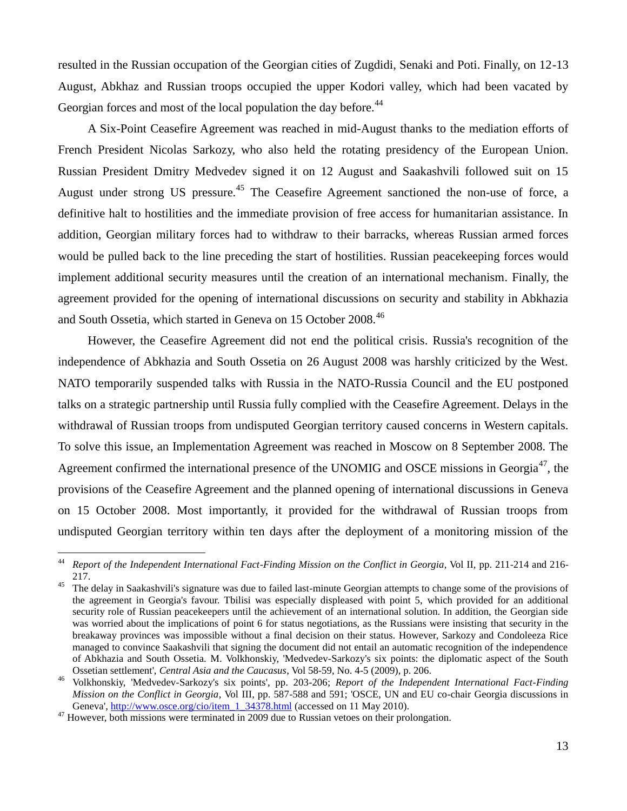resulted in the Russian occupation of the Georgian cities of Zugdidi, Senaki and Poti. Finally, on 12-13 August, Abkhaz and Russian troops occupied the upper Kodori valley, which had been vacated by Georgian forces and most of the local population the day before.<sup>44</sup>

A Six-Point Ceasefire Agreement was reached in mid-August thanks to the mediation efforts of French President Nicolas Sarkozy, who also held the rotating presidency of the European Union. Russian President Dmitry Medvedev signed it on 12 August and Saakashvili followed suit on 15 August under strong US pressure.<sup>45</sup> The Ceasefire Agreement sanctioned the non-use of force, a definitive halt to hostilities and the immediate provision of free access for humanitarian assistance. In addition, Georgian military forces had to withdraw to their barracks, whereas Russian armed forces would be pulled back to the line preceding the start of hostilities. Russian peacekeeping forces would implement additional security measures until the creation of an international mechanism. Finally, the agreement provided for the opening of international discussions on security and stability in Abkhazia and South Ossetia, which started in Geneva on 15 October 2008.<sup>46</sup>

However, the Ceasefire Agreement did not end the political crisis. Russia's recognition of the independence of Abkhazia and South Ossetia on 26 August 2008 was harshly criticized by the West. NATO temporarily suspended talks with Russia in the NATO-Russia Council and the EU postponed talks on a strategic partnership until Russia fully complied with the Ceasefire Agreement. Delays in the withdrawal of Russian troops from undisputed Georgian territory caused concerns in Western capitals. To solve this issue, an Implementation Agreement was reached in Moscow on 8 September 2008. The Agreement confirmed the international presence of the UNOMIG and OSCE missions in Georgia<sup>47</sup>, the provisions of the Ceasefire Agreement and the planned opening of international discussions in Geneva on 15 October 2008. Most importantly, it provided for the withdrawal of Russian troops from undisputed Georgian territory within ten days after the deployment of a monitoring mission of the

 $44$ <sup>44</sup> *Report of the Independent International Fact-Finding Mission on the Conflict in Georgia*, Vol II, pp. 211-214 and 216- 217.

<sup>&</sup>lt;sup>45</sup> The delay in Saakashvili's signature was due to failed last-minute Georgian attempts to change some of the provisions of the agreement in Georgia's favour. Tbilisi was especially displeased with point 5, which provided for an additional security role of Russian peacekeepers until the achievement of an international solution. In addition, the Georgian side was worried about the implications of point 6 for status negotiations, as the Russians were insisting that security in the breakaway provinces was impossible without a final decision on their status. However, Sarkozy and Condoleeza Rice managed to convince Saakashvili that signing the document did not entail an automatic recognition of the independence of Abkhazia and South Ossetia. M. Volkhonskiy, 'Medvedev-Sarkozy's six points: the diplomatic aspect of the South Ossetian settlement', *Central Asia and the Caucasus*, Vol 58-59, No. 4-5 (2009), p. 206.

<sup>46</sup> Volkhonskiy, 'Medvedev-Sarkozy's six points', pp. 203-206; *Report of the Independent International Fact-Finding Mission on the Conflict in Georgia*, Vol III, pp. 587-588 and 591; 'OSCE, UN and EU co-chair Georgia discussions in Geneva', [http://www.osce.org/cio/item\\_1\\_34378.html](http://www.osce.org/cio/item_1_34378.html) (accessed on 11 May 2010).

<sup>&</sup>lt;sup>47</sup> However, both missions were terminated in 2009 due to Russian vetoes on their prolongation.